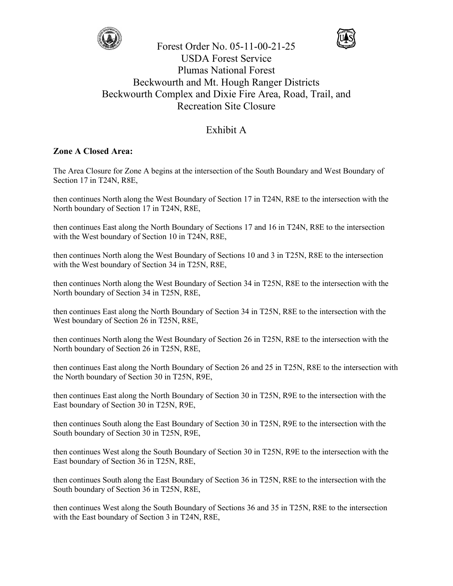



# Exhibit A

### **Zone A Closed Area:**

The Area Closure for Zone A begins at the intersection of the South Boundary and West Boundary of Section 17 in T24N, R8E,

then continues North along the West Boundary of Section 17 in T24N, R8E to the intersection with the North boundary of Section 17 in T24N, R8E,

then continues East along the North Boundary of Sections 17 and 16 in T24N, R8E to the intersection with the West boundary of Section 10 in T24N, R8E,

then continues North along the West Boundary of Sections 10 and 3 in T25N, R8E to the intersection with the West boundary of Section 34 in T25N, R8E,

then continues North along the West Boundary of Section 34 in T25N, R8E to the intersection with the North boundary of Section 34 in T25N, R8E,

then continues East along the North Boundary of Section 34 in T25N, R8E to the intersection with the West boundary of Section 26 in T25N, R8E,

then continues North along the West Boundary of Section 26 in T25N, R8E to the intersection with the North boundary of Section 26 in T25N, R8E,

then continues East along the North Boundary of Section 26 and 25 in T25N, R8E to the intersection with the North boundary of Section 30 in T25N, R9E,

then continues East along the North Boundary of Section 30 in T25N, R9E to the intersection with the East boundary of Section 30 in T25N, R9E,

then continues South along the East Boundary of Section 30 in T25N, R9E to the intersection with the South boundary of Section 30 in T25N, R9E,

then continues West along the South Boundary of Section 30 in T25N, R9E to the intersection with the East boundary of Section 36 in T25N, R8E,

then continues South along the East Boundary of Section 36 in T25N, R8E to the intersection with the South boundary of Section 36 in T25N, R8E,

then continues West along the South Boundary of Sections 36 and 35 in T25N, R8E to the intersection with the East boundary of Section 3 in T24N, R8E,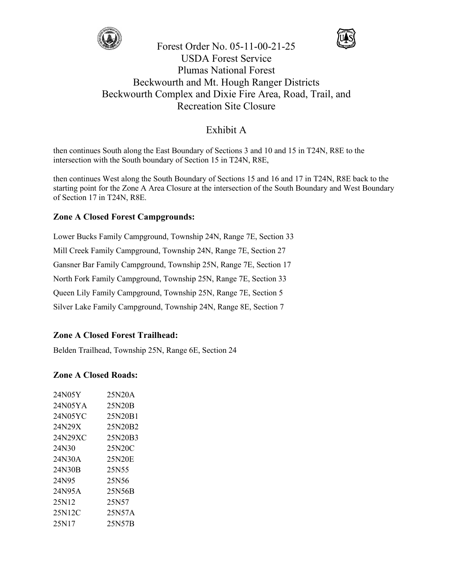



## Exhibit A

then continues South along the East Boundary of Sections 3 and 10 and 15 in T24N, R8E to the intersection with the South boundary of Section 15 in T24N, R8E,

then continues West along the South Boundary of Sections 15 and 16 and 17 in T24N, R8E back to the starting point for the Zone A Area Closure at the intersection of the South Boundary and West Boundary of Section 17 in T24N, R8E.

### **Zone A Closed Forest Campgrounds:**

Lower Bucks Family Campground, Township 24N, Range 7E, Section 33 Mill Creek Family Campground, Township 24N, Range 7E, Section 27 Gansner Bar Family Campground, Township 25N, Range 7E, Section 17 North Fork Family Campground, Township 25N, Range 7E, Section 33 Queen Lily Family Campground, Township 25N, Range 7E, Section 5 Silver Lake Family Campground, Township 24N, Range 8E, Section 7

### **Zone A Closed Forest Trailhead:**

Belden Trailhead, Township 25N, Range 6E, Section 24

#### **Zone A Closed Roads:**

| 24N05Y  | 25N20A  |
|---------|---------|
| 24N05YA | 25N20B  |
| 24N05YC | 25N20B1 |
| 24N29X  | 25N20B2 |
| 24N29XC | 25N20B3 |
| 24N30   | 25N20C  |
| 24N30A  | 25N20E  |
| 24N30B  | 25N55   |
| 24N95   | 25N56   |
| 24N95A  | 25N56B  |
| 25N12   | 25N57   |
| 25N12C  | 25N57A  |
| 25N17   | 25N57B  |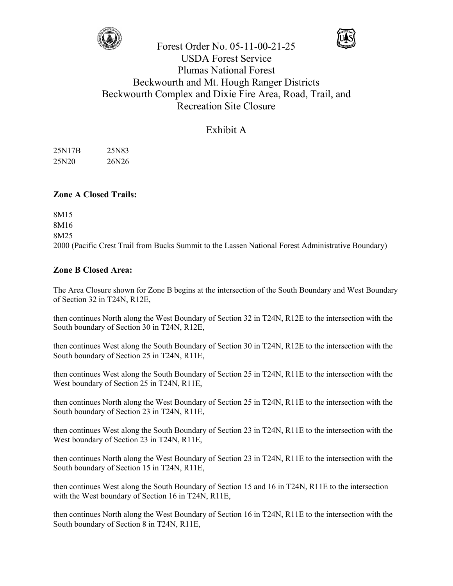



### Exhibit A

25N17B 25N83 25N20 26N26

#### **Zone A Closed Trails:**

8M15 8M16 8M25 2000 (Pacific Crest Trail from Bucks Summit to the Lassen National Forest Administrative Boundary)

### **Zone B Closed Area:**

The Area Closure shown for Zone B begins at the intersection of the South Boundary and West Boundary of Section 32 in T24N, R12E,

then continues North along the West Boundary of Section 32 in T24N, R12E to the intersection with the South boundary of Section 30 in T24N, R12E,

then continues West along the South Boundary of Section 30 in T24N, R12E to the intersection with the South boundary of Section 25 in T24N, R11E,

then continues West along the South Boundary of Section 25 in T24N, R11E to the intersection with the West boundary of Section 25 in T24N, R11E,

then continues North along the West Boundary of Section 25 in T24N, R11E to the intersection with the South boundary of Section 23 in T24N, R11E,

then continues West along the South Boundary of Section 23 in T24N, R11E to the intersection with the West boundary of Section 23 in T24N, R11E,

then continues North along the West Boundary of Section 23 in T24N, R11E to the intersection with the South boundary of Section 15 in T24N, R11E,

then continues West along the South Boundary of Section 15 and 16 in T24N, R11E to the intersection with the West boundary of Section 16 in T24N, R11E,

then continues North along the West Boundary of Section 16 in T24N, R11E to the intersection with the South boundary of Section 8 in T24N, R11E,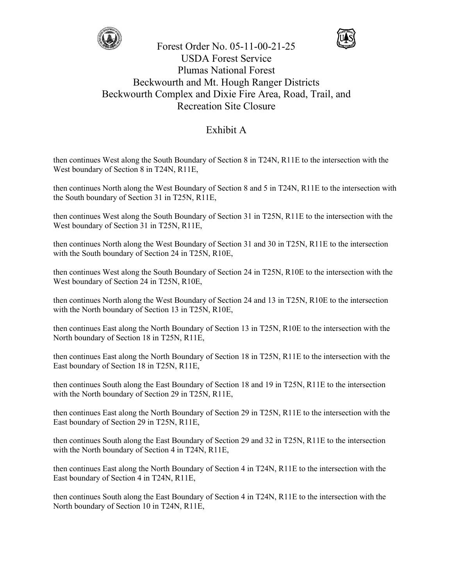



## Exhibit A

then continues West along the South Boundary of Section 8 in T24N, R11E to the intersection with the West boundary of Section 8 in T24N, R11E,

then continues North along the West Boundary of Section 8 and 5 in T24N, R11E to the intersection with the South boundary of Section 31 in T25N, R11E,

then continues West along the South Boundary of Section 31 in T25N, R11E to the intersection with the West boundary of Section 31 in T25N, R11E,

then continues North along the West Boundary of Section 31 and 30 in T25N, R11E to the intersection with the South boundary of Section 24 in T25N, R10E,

then continues West along the South Boundary of Section 24 in T25N, R10E to the intersection with the West boundary of Section 24 in T25N, R10E,

then continues North along the West Boundary of Section 24 and 13 in T25N, R10E to the intersection with the North boundary of Section 13 in T25N, R10E,

then continues East along the North Boundary of Section 13 in T25N, R10E to the intersection with the North boundary of Section 18 in T25N, R11E,

then continues East along the North Boundary of Section 18 in T25N, R11E to the intersection with the East boundary of Section 18 in T25N, R11E,

then continues South along the East Boundary of Section 18 and 19 in T25N, R11E to the intersection with the North boundary of Section 29 in T25N, R11E,

then continues East along the North Boundary of Section 29 in T25N, R11E to the intersection with the East boundary of Section 29 in T25N, R11E,

then continues South along the East Boundary of Section 29 and 32 in T25N, R11E to the intersection with the North boundary of Section 4 in T24N, R11E,

then continues East along the North Boundary of Section 4 in T24N, R11E to the intersection with the East boundary of Section 4 in T24N, R11E,

then continues South along the East Boundary of Section 4 in T24N, R11E to the intersection with the North boundary of Section 10 in T24N, R11E,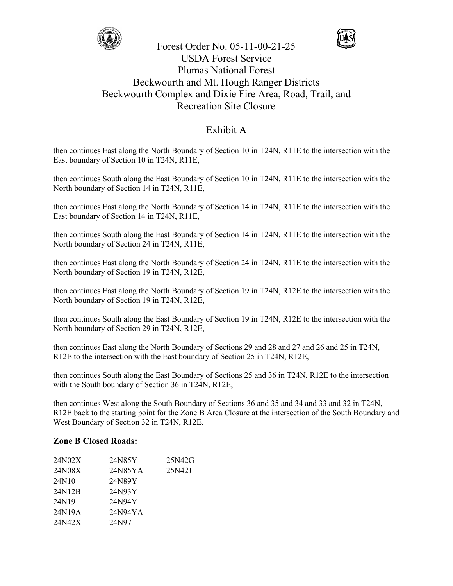



### Exhibit A

then continues East along the North Boundary of Section 10 in T24N, R11E to the intersection with the East boundary of Section 10 in T24N, R11E,

then continues South along the East Boundary of Section 10 in T24N, R11E to the intersection with the North boundary of Section 14 in T24N, R11E,

then continues East along the North Boundary of Section 14 in T24N, R11E to the intersection with the East boundary of Section 14 in T24N, R11E,

then continues South along the East Boundary of Section 14 in T24N, R11E to the intersection with the North boundary of Section 24 in T24N, R11E,

then continues East along the North Boundary of Section 24 in T24N, R11E to the intersection with the North boundary of Section 19 in T24N, R12E,

then continues East along the North Boundary of Section 19 in T24N, R12E to the intersection with the North boundary of Section 19 in T24N, R12E,

then continues South along the East Boundary of Section 19 in T24N, R12E to the intersection with the North boundary of Section 29 in T24N, R12E,

then continues East along the North Boundary of Sections 29 and 28 and 27 and 26 and 25 in T24N, R12E to the intersection with the East boundary of Section 25 in T24N, R12E,

then continues South along the East Boundary of Sections 25 and 36 in T24N, R12E to the intersection with the South boundary of Section 36 in T24N, R12E,

then continues West along the South Boundary of Sections 36 and 35 and 34 and 33 and 32 in T24N, R12E back to the starting point for the Zone B Area Closure at the intersection of the South Boundary and West Boundary of Section 32 in T24N, R12E.

### **Zone B Closed Roads:**

| 24N02X | 24N85Y  | 25N42G |
|--------|---------|--------|
| 24N08X | 24N85YA | 25N42J |
| 24N10  | 24N89Y  |        |
| 24N12B | 24N93Y  |        |
| 24N19  | 24N94Y  |        |
| 24N19A | 24N94YA |        |
| 24N42X | 24N97   |        |
|        |         |        |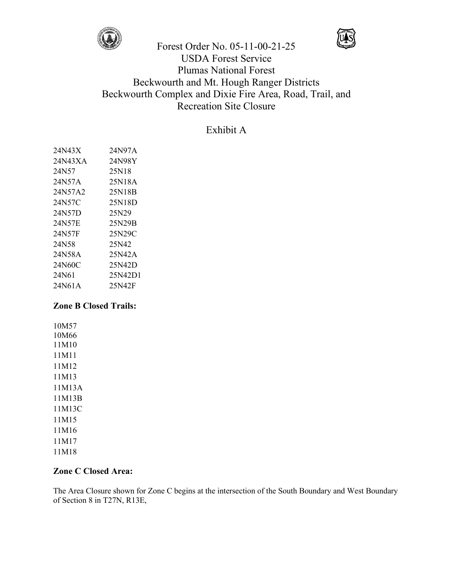



### Exhibit A

| 24N43X  | 24N97A  |
|---------|---------|
| 24N43XA | 24N98Y  |
| 24N57   | 25N18   |
| 24N57A  | 25N18A  |
| 24N57A2 | 25N18B  |
| 24N57C  | 25N18D  |
| 24N57D  | 25N29   |
| 24N57E  | 25N29B  |
| 24N57F  | 25N29C  |
| 24N58   | 25N42   |
| 24N58A  | 25N42A  |
| 24N60C  | 25N42D  |
| 24N61   | 25N42D1 |
| 24N61 A | 25N42F  |
|         |         |

#### **Zone B Closed Trails:**

10M57 10M66 11M10 11M11 11M12 11M13 11M13A 11M13B 11M13C 11M15 11M16 11M17 11M18

#### **Zone C Closed Area:**

The Area Closure shown for Zone C begins at the intersection of the South Boundary and West Boundary of Section 8 in T27N, R13E,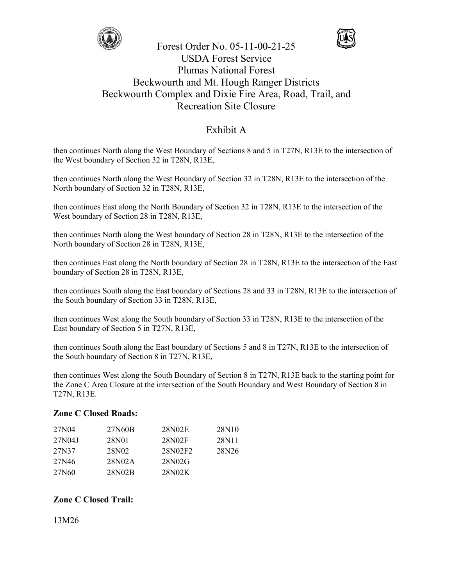



### Exhibit A

then continues North along the West Boundary of Sections 8 and 5 in T27N, R13E to the intersection of the West boundary of Section 32 in T28N, R13E,

then continues North along the West Boundary of Section 32 in T28N, R13E to the intersection of the North boundary of Section 32 in T28N, R13E,

then continues East along the North Boundary of Section 32 in T28N, R13E to the intersection of the West boundary of Section 28 in T28N, R13E,

then continues North along the West boundary of Section 28 in T28N, R13E to the intersection of the North boundary of Section 28 in T28N, R13E,

then continues East along the North boundary of Section 28 in T28N, R13E to the intersection of the East boundary of Section 28 in T28N, R13E,

then continues South along the East boundary of Sections 28 and 33 in T28N, R13E to the intersection of the South boundary of Section 33 in T28N, R13E,

then continues West along the South boundary of Section 33 in T28N, R13E to the intersection of the East boundary of Section 5 in T27N, R13E,

then continues South along the East boundary of Sections 5 and 8 in T27N, R13E to the intersection of the South boundary of Section 8 in T27N, R13E,

then continues West along the South Boundary of Section 8 in T27N, R13E back to the starting point for the Zone C Area Closure at the intersection of the South Boundary and West Boundary of Section 8 in T27N, R13E.

#### **Zone C Closed Roads:**

| 27N04  | 27N60B | 28N02E  | 28N10 |
|--------|--------|---------|-------|
| 27N04J | 28N01  | 28N02F  | 28N11 |
| 27N37  | 28N02  | 28N02F2 | 28N26 |
| 27N46  | 28N02A | 28N02G  |       |
| 27N60  | 28N02B | 28N02K  |       |

### **Zone C Closed Trail:**

13M26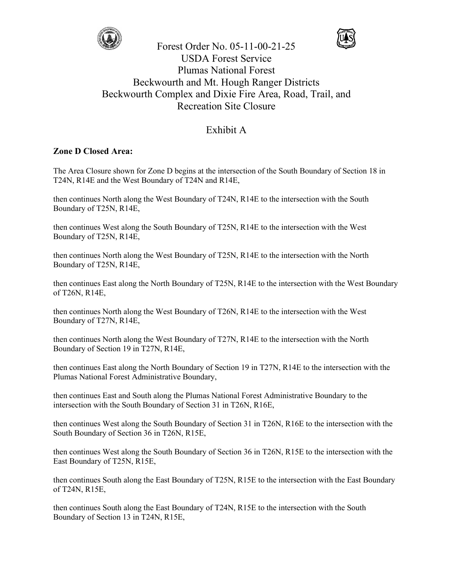



## Exhibit A

### **Zone D Closed Area:**

The Area Closure shown for Zone D begins at the intersection of the South Boundary of Section 18 in T24N, R14E and the West Boundary of T24N and R14E,

then continues North along the West Boundary of T24N, R14E to the intersection with the South Boundary of T25N, R14E,

then continues West along the South Boundary of T25N, R14E to the intersection with the West Boundary of T25N, R14E,

then continues North along the West Boundary of T25N, R14E to the intersection with the North Boundary of T25N, R14E,

then continues East along the North Boundary of T25N, R14E to the intersection with the West Boundary of T26N, R14E,

then continues North along the West Boundary of T26N, R14E to the intersection with the West Boundary of T27N, R14E,

then continues North along the West Boundary of T27N, R14E to the intersection with the North Boundary of Section 19 in T27N, R14E,

then continues East along the North Boundary of Section 19 in T27N, R14E to the intersection with the Plumas National Forest Administrative Boundary,

then continues East and South along the Plumas National Forest Administrative Boundary to the intersection with the South Boundary of Section 31 in T26N, R16E,

then continues West along the South Boundary of Section 31 in T26N, R16E to the intersection with the South Boundary of Section 36 in T26N, R15E,

then continues West along the South Boundary of Section 36 in T26N, R15E to the intersection with the East Boundary of T25N, R15E,

then continues South along the East Boundary of T25N, R15E to the intersection with the East Boundary of T24N, R15E,

then continues South along the East Boundary of T24N, R15E to the intersection with the South Boundary of Section 13 in T24N, R15E,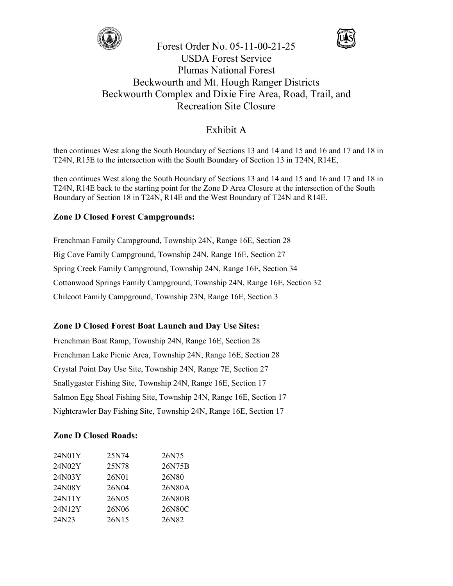



# Exhibit A

then continues West along the South Boundary of Sections 13 and 14 and 15 and 16 and 17 and 18 in T24N, R15E to the intersection with the South Boundary of Section 13 in T24N, R14E,

then continues West along the South Boundary of Sections 13 and 14 and 15 and 16 and 17 and 18 in T24N, R14E back to the starting point for the Zone D Area Closure at the intersection of the South Boundary of Section 18 in T24N, R14E and the West Boundary of T24N and R14E.

### **Zone D Closed Forest Campgrounds:**

Frenchman Family Campground, Township 24N, Range 16E, Section 28 Big Cove Family Campground, Township 24N, Range 16E, Section 27 Spring Creek Family Campground, Township 24N, Range 16E, Section 34 Cottonwood Springs Family Campground, Township 24N, Range 16E, Section 32 Chilcoot Family Campground, Township 23N, Range 16E, Section 3

### **Zone D Closed Forest Boat Launch and Day Use Sites:**

Frenchman Boat Ramp, Township 24N, Range 16E, Section 28 Frenchman Lake Picnic Area, Township 24N, Range 16E, Section 28 Crystal Point Day Use Site, Township 24N, Range 7E, Section 27 Snallygaster Fishing Site, Township 24N, Range 16E, Section 17 Salmon Egg Shoal Fishing Site, Township 24N, Range 16E, Section 17 Nightcrawler Bay Fishing Site, Township 24N, Range 16E, Section 17

### **Zone D Closed Roads:**

| 24N01Y | 25N74 | 26N75  |
|--------|-------|--------|
|        |       |        |
| 24N02Y | 25N78 | 26N75B |
| 24N03Y | 26N01 | 26N80  |
| 24N08Y | 26N04 | 26N80A |
| 24N11Y | 26N05 | 26N80B |
| 24N12Y | 26N06 | 26N80C |
| 24N23  | 26N15 | 26N82  |
|        |       |        |